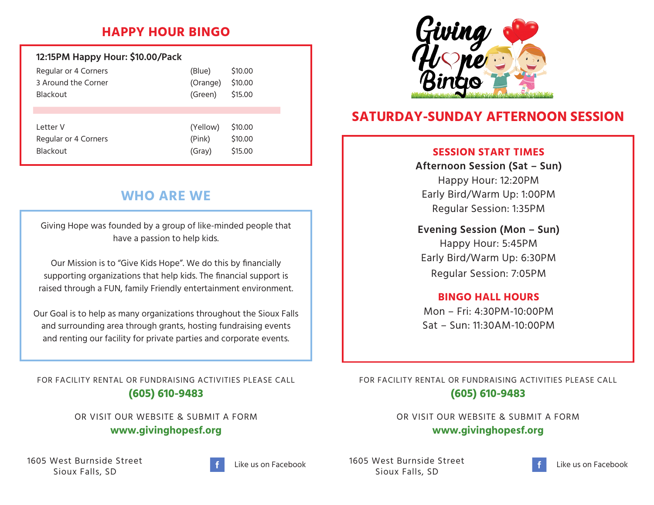# **HAPPY HOUR BINGO**

# **12:15PM Happy Hour: \$10.00/Pack**

| Regular or 4 Corners | (Blue)   | \$10.00 |
|----------------------|----------|---------|
| 3 Around the Corner  | (Orange) | \$10.00 |
| <b>Blackout</b>      | (Green)  | \$15.00 |
| I etter V            | (Yellow) | \$10.00 |
| Regular or 4 Corners | (Pink)   | \$10.00 |
| <b>Blackout</b>      | (Gray)   | \$15.00 |

# **WHO ARE WE**

Giving Hope was founded by a group of like-minded people that have a passion to help kids.

Our Mission is to "Give Kids Hope". We do this by financially supporting organizations that help kids. The financial support is raised through a FUN, family Friendly entertainment environment.

Our Goal is to help as many organizations throughout the Sioux Falls and surrounding area through grants, hosting fundraising events and renting our facility for private parties and corporate events.

FOR FACILITY RENTAL OR FUNDRAISING ACTIVITIES PLEASE CALL **(605) 610-9483**

> OR VISIT OUR WEBSITE & SUBMIT A FORM **www.givinghopesf.org**

1605 West Burnside Street Sioux Falls, SD





# **SATURDAY-SUNDAY AFTERNOON SESSION**

#### **SESSION START TIMES**

### **Afternoon Session (Sat – Sun)**

Happy Hour: 12:20PM Early Bird/Warm Up: 1:00PM Regular Session: 1:35PM

**Evening Session (Mon – Sun)** Happy Hour: 5:45PM Early Bird/Warm Up: 6:30PM Regular Session: 7:05PM

# **BINGO HALL HOURS**

Mon – Fri: 4:30PM-10:00PM Sat – Sun: 11:30AM-10:00PM

FOR FACILITY RENTAL OR FUNDRAISING ACTIVITIES PLEASE CALL **(605) 610-9483**

> OR VISIT OUR WEBSITE & SUBMIT A FORM **www.givinghopesf.org**

1605 West Burnside Street Sioux Falls, SD Like us on Facebook LibUS West Burnside Street Like us on Facebook Like us on Facebook